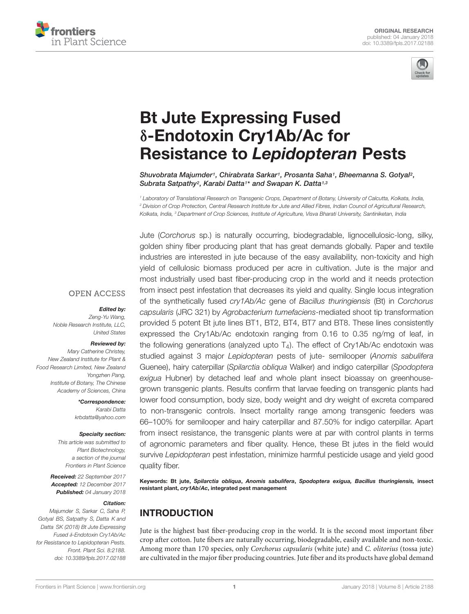



# Bt Jute Expressing Fused δ-Endotoxin Cry1Ab/Ac for Resistance to Lepidopteran Pests

Shuvobrata Majumder1, Chirabrata Sarkar1, Prosanta Saha1, Bheemanna S. Gotyal2, Subrata Satpathy<sup>2</sup>, Karabi Datta<sup>1\*</sup> and Swapan K. Datta<sup>1,3</sup>

*<sup>1</sup> Laboratory of Translational Research on Transgenic Crops, Department of Botany, University of Calcutta, Kolkata, India, <sup>2</sup> Division of Crop Protection, Central Research Institute for Jute and Allied Fibres, Indian Council of Agricultural Research, Kolkata, India, <sup>3</sup> Department of Crop Sciences, Institute of Agriculture, Visva Bharati University, Santiniketan, India*

Jute (*Corchorus* sp.) is naturally occurring, biodegradable, lignocellulosic-long, silky, golden shiny fiber producing plant that has great demands globally. Paper and textile industries are interested in jute because of the easy availability, non-toxicity and high yield of cellulosic biomass produced per acre in cultivation. Jute is the major and most industrially used bast fiber-producing crop in the world and it needs protection from insect pest infestation that decreases its yield and quality. Single locus integration of the synthetically fused *cry1Ab/Ac* gene of *Bacillus thuringiensis* (Bt) in *Corchorus capsularis* (JRC 321) by *Agrobacterium tumefaciens-*mediated shoot tip transformation provided 5 potent Bt jute lines BT1, BT2, BT4, BT7 and BT8. These lines consistently expressed the Cry1Ab/Ac endotoxin ranging from 0.16 to 0.35 ng/mg of leaf, in the following generations (analyzed upto  $T_4$ ). The effect of Cry1Ab/Ac endotoxin was studied against 3 major *Lepidopteran* pests of jute- semilooper (*Anomis sabulifera* Guenee), hairy caterpillar (*Spilarctia obliqua* Walker) and indigo caterpillar (*Spodoptera exigua* Hubner) by detached leaf and whole plant insect bioassay on greenhousegrown transgenic plants. Results confirm that larvae feeding on transgenic plants had lower food consumption, body size, body weight and dry weight of excreta compared to non-transgenic controls. Insect mortality range among transgenic feeders was 66–100% for semilooper and hairy caterpillar and 87.50% for indigo caterpillar. Apart from insect resistance, the transgenic plants were at par with control plants in terms of agronomic parameters and fiber quality. Hence, these Bt jutes in the field would survive *Lepidopteran* pest infestation, minimize harmful pesticide usage and yield good quality fiber.

Keywords: Bt jute, Spilarctia obliqua, Anomis sabulifera, Spodoptera exigua, Bacillus thuringiensis, insect resistant plant, cry1Ab/Ac, integrated pest management

# INTRODUCTION

Jute is the highest bast fiber-producing crop in the world. It is the second most important fiber crop after cotton. Jute fibers are naturally occurring, biodegradable, easily available and non-toxic. Among more than 170 species, only Corchorus capsularis (white jute) and C. olitorius (tossa jute) are cultivated in the major fiber producing countries. Jute fiber and its products have global demand

#### **OPEN ACCESS**

#### Edited by:

*Zeng-Yu Wang, Noble Research Institute, LLC, United States*

#### Reviewed by:

*Mary Catherine Christey, New Zealand Institute for Plant & Food Research Limited, New Zealand Yongzhen Pang, Institute of Botany, The Chinese Academy of Sciences, China*

> \*Correspondence: *Karabi Datta krbdatta@yahoo.com*

#### Specialty section:

*This article was submitted to Plant Biotechnology, a section of the journal Frontiers in Plant Science*

Received: *22 September 2017* Accepted: *12 December 2017* Published: *04 January 2018*

#### Citation:

*Majumder S, Sarkar C, Saha P, Gotyal BS, Satpathy S, Datta K and Datta SK (2018) Bt Jute Expressing Fused* δ*-Endotoxin Cry1Ab/Ac for Resistance to Lepidopteran Pests. Front. Plant Sci. 8:2188. doi: 10.3389/fpls.2017.02188*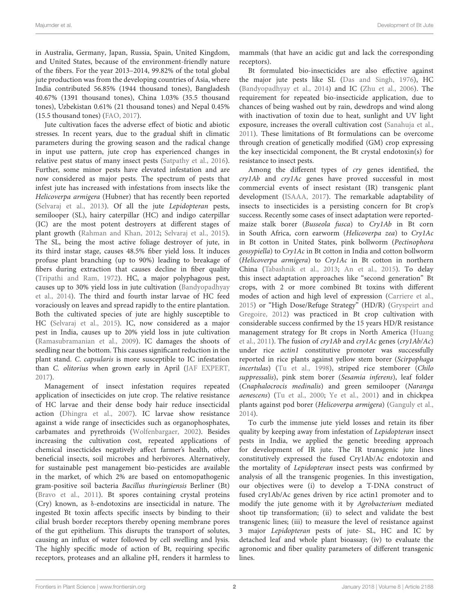in Australia, Germany, Japan, Russia, Spain, United Kingdom, and United States, because of the environment-friendly nature of the fibers. For the year 2013–2014, 99.82% of the total global jute production was from the developing countries of Asia, where India contributed 56.85% (1944 thousand tones), Bangladesh 40.67% (1391 thousand tones), China 1.03% (35.5 thousand tones), Uzbekistan 0.61% (21 thousand tones) and Nepal 0.45% (15.5 thousand tones) (FAO, 2017).

Jute cultivation faces the adverse effect of biotic and abiotic stresses. In recent years, due to the gradual shift in climatic parameters during the growing season and the radical change in input use pattern, jute crop has experienced changes in relative pest status of many insect pests (Satpathy et al., 2016). Further, some minor pests have elevated infestation and are now considered as major pests. The spectrum of pests that infest jute has increased with infestations from insects like the Helicoverpa armigera (Hubner) that has recently been reported (Selvaraj et al., 2013). Of all the jute Lepidopteran pests, semilooper (SL), hairy caterpillar (HC) and indigo caterpillar (IC) are the most potent destroyers at different stages of plant growth (Rahman and Khan, 2012; Selvaraj et al., 2015). The SL, being the most active foliage destroyer of jute, in its third instar stage, causes 48.5% fiber yield loss. It induces profuse plant branching (up to 90%) leading to breakage of fibers during extraction that causes decline in fiber quality (Tripathi and Ram, 1972). HC, a major polyphagous pest, causes up to 30% yield loss in jute cultivation (Bandyopadhyay et al., 2014). The third and fourth instar larvae of HC feed voraciously on leaves and spread rapidly to the entire plantation. Both the cultivated species of jute are highly susceptible to HC (Selvaraj et al., 2015). IC, now considered as a major pest in India, causes up to 20% yield loss in jute cultivation (Ramasubramanian et al., 2009). IC damages the shoots of seedling near the bottom. This causes significant reduction in the plant stand. C. capsularis is more susceptible to IC infestation than C. olitorius when grown early in April (JAF EXPERT, 2017).

Management of insect infestation requires repeated application of insecticides on jute crop. The relative resistance of HC larvae and their dense body hair reduce insecticidal action (Dhingra et al., 2007). IC larvae show resistance against a wide range of insecticides such as organophosphates, carbamates and pyrethroids (Wolfenbargaer, 2002). Besides increasing the cultivation cost, repeated applications of chemical insecticides negatively affect farmer's health, other beneficial insects, soil microbes and herbivores. Alternatively, for sustainable pest management bio-pesticides are available in the market, of which 2% are based on entomopathogenic gram-positive soil bacteria Bacillus thuringiensis Berliner (Bt) (Bravo et al., 2011). Bt spores containing crystal proteins (Cry) known, as δ-endotoxins are insecticidal in nature. The ingested Bt toxin affects specific insects by binding to their cilial brush border receptors thereby opening membrane pores of the gut epithelium. This disrupts the transport of solutes, causing an influx of water followed by cell swelling and lysis. The highly specific mode of action of Bt, requiring specific receptors, proteases and an alkaline pH, renders it harmless to

mammals (that have an acidic gut and lack the corresponding receptors).

Bt formulated bio-insecticides are also effective against the major jute pests like SL (Das and Singh, 1976), HC (Bandyopadhyay et al., 2014) and IC (Zhu et al., 2006). The requirement for repeated bio-insecticide application, due to chances of being washed out by rain, dewdrops and wind along with inactivation of toxin due to heat, sunlight and UV light exposure, increases the overall cultivation cost (Sanahuja et al., 2011). These limitations of Bt formulations can be overcome through creation of genetically modified (GM) crop expressing the key insecticidal component, the Bt crystal endotoxin(s) for resistance to insect pests.

Among the different types of cry genes identified, the cry1Ab and cry1Ac genes have proved successful in most commercial events of insect resistant (IR) transgenic plant development (ISAAA, 2017). The remarkable adaptability of insects to insecticides is a persisting concern for Bt crop's success. Recently some cases of insect adaptation were reportedmaize stalk borer (Busseola fusca) to Cry1Ab in Bt corn in South Africa, corn earworm (Helicoverpa zea) to Cry1Ac in Bt cotton in United States, pink bollworm (Pectinophora gossypiella) to Cry1Ac in Bt cotton in India and cotton bollworm (Helicoverpa armigera) to Cry1Ac in Bt cotton in northern China (Tabashnik et al., 2013; An et al., 2015). To delay this insect adaptation approaches like "second generation" Bt crops, with 2 or more combined Bt toxins with different modes of action and high level of expression (Carriere et al., 2015) or "High Dose/Refuge Strategy" (HD/R) (Gryspeirt and Gregoire, 2012) was practiced in Bt crop cultivation with considerable success confirmed by the 15 years HD/R resistance management strategy for Bt crops in North America (Huang et al., 2011). The fusion of cry1Ab and cry1Ac genes (cry1Ab/Ac) under rice actin1 constitutive promoter was successfully reported in rice plants against yellow stem borer (Scirpophaga incertulas) (Tu et al., 1998), striped rice stemborer (Chilo suppressalis), pink stem borer (Sesamia inferens), leaf folder (Cnaphalocrocis medinalis) and green semilooper (Naranga aenescens) (Tu et al., 2000; Ye et al., 2001) and in chickpea plants against pod borer (Helicoverpa armigera) (Ganguly et al., 2014).

To curb the immense jute yield losses and retain its fiber quality by keeping away from infestation of Lepidopteran insect pests in India, we applied the genetic breeding approach for development of IR jute. The IR transgenic jute lines constitutively expressed the fused Cry1Ab/Ac endotoxin and the mortality of Lepidopteran insect pests was confirmed by analysis of all the transgenic progenies. In this investigation, our objectives were (i) to develop a T-DNA construct of fused cry1Ab/Ac genes driven by rice actin1 promoter and to modify the jute genome with it by Agrobacterium mediated shoot tip transformation; (ii) to select and validate the best transgenic lines; (iii) to measure the level of resistance against 3 major Lepidopteran pests of jute- SL, HC and IC by detached leaf and whole plant bioassay; (iv) to evaluate the agronomic and fiber quality parameters of different transgenic lines.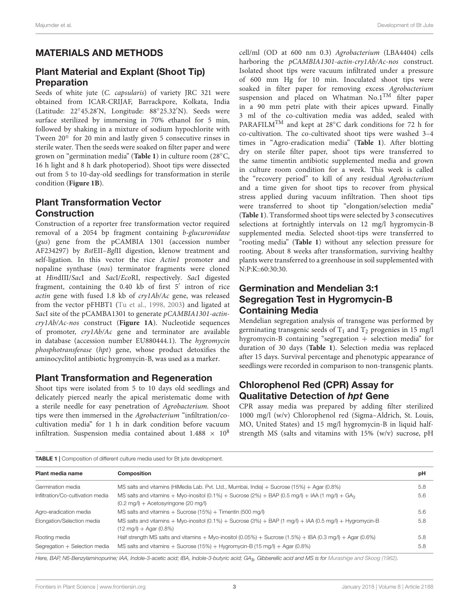# MATERIALS AND METHODS

# Plant Material and Explant (Shoot Tip) Preparation

Seeds of white jute (C. capsularis) of variety JRC 321 were obtained from ICAR-CRIJAF, Barrackpore, Kolkata, India (Latitude: 22◦ 45.28'N, Longitude: 88◦ 25.32′N). Seeds were surface sterilized by immersing in 70% ethanol for 5 min, followed by shaking in a mixture of sodium hypochlorite with Tween 20<sup>®</sup> for 20 min and lastly given 5 consecutive rinses in sterile water. Then the seeds were soaked on filter paper and were grown on "germination media" (**Table 1**) in culture room (28◦C, 16 h light and 8 h dark photoperiod). Shoot tips were dissected out from 5 to 10-day-old seedlings for transformation in sterile condition (**Figure 1B**).

# Plant Transformation Vector Construction

Construction of a reporter free transformation vector required removal of a 2054 bp fragment containing b-glucuronidase (gus) gene from the pCAMBIA 1301 (accession number AF234297) by BstEII–BglII digestion, klenow treatment and self-ligation. In this vector the rice Actin1 promoter and nopaline synthase (nos) terminator fragments were cloned at HindIII/SacI and SacI/EcoRI, respectively. SacI digested fragment, containing the 0.40 kb of first 5' intron of rice actin gene with fused 1.8 kb of cry1Ab/Ac gene, was released from the vector pFHBT1 (Tu et al., 1998, 2003) and ligated at SacI site of the pCAMBA1301 to generate pCAMBIA1301-actincry1Ab/Ac-nos construct (**Figure 1A**). Nucleotide sequences of promoter, cry1Ab/Ac gene and terminator are available in database (accession number EU880444.1). The hygromycin phosphotransferase (hpt) gene, whose product detoxifies the aminocyclitol antibiotic hygromycin-B, was used as a marker.

### Plant Transformation and Regeneration

Shoot tips were isolated from 5 to 10 days old seedlings and delicately pierced nearly the apical meristematic dome with a sterile needle for easy penetration of Agrobacterium. Shoot tips were then immersed in the Agrobacterium "infiltration/cocultivation media" for 1 h in dark condition before vacuum infiltration. Suspension media contained about  $1.488 \times 10^8$ 

cell/ml (OD at 600 nm 0.3) Agrobacterium (LBA4404) cells harboring the pCAMBIA1301-actin-cry1Ab/Ac-nos construct. Isolated shoot tips were vacuum infiltrated under a pressure of 600 mm Hg for 10 min. Inoculated shoot tips were soaked in filter paper for removing excess Agrobacterium suspension and placed on Whatman  $No.1<sup>TM</sup>$  filter paper in a 90 mm petri plate with their apices upward. Finally 3 ml of the co-cultivation media was added, sealed with PARAFILM<sup>™</sup> and kept at 28<sup>°</sup>C dark conditions for 72 h for co-cultivation. The co-cultivated shoot tips were washed 3–4 times in "Agro-eradication media" (**Table 1**). After blotting dry on sterile filter paper, shoot tips were transferred to the same timentin antibiotic supplemented media and grown in culture room condition for a week. This week is called the "recovery period" to kill of any residual Agrobacterium and a time given for shoot tips to recover from physical stress applied during vacuum infiltration. Then shoot tips were transferred to shoot tip "elongation/selection media" (**Table 1**). Transformed shoot tips were selected by 3 consecutives selections at fortnightly intervals on 12 mg/l hygromycin-B supplemented media. Selected shoot-tips were transferred to "rooting media" (**Table 1**) without any selection pressure for rooting. About 8 weeks after transformation, surviving healthy plants were transferred to a greenhouse in soil supplemented with N:P:K::60:30:30.

# Germination and Mendelian 3:1 Segregation Test in Hygromycin-B Containing Media

Mendelian segregation analysis of transgene was performed by germinating transgenic seeds of  $T_1$  and  $T_2$  progenies in 15 mg/l hygromycin-B containing "segregation  $+$  selection media" for duration of 30 days (**Table 1**). Selection media was replaced after 15 days. Survival percentage and phenotypic appearance of seedlings were recorded in comparison to non-transgenic plants.

# Chlorophenol Red (CPR) Assay for Qualitative Detection of hpt Gene

CPR assay media was prepared by adding filter sterilized 1000 mg/l (w/v) Chlorophenol red (Sigma–Aldrich, St. Louis, MO, United States) and 15 mg/l hygromycin-B in liquid halfstrength MS (salts and vitamins with 15% (w/v) sucrose, pH

| <b>TABLE 1</b>   Composition of different culture media used for Bt jute development. |                                                                                                                                                                 |     |  |  |  |
|---------------------------------------------------------------------------------------|-----------------------------------------------------------------------------------------------------------------------------------------------------------------|-----|--|--|--|
| Plant media name                                                                      | <b>Composition</b>                                                                                                                                              |     |  |  |  |
| Germination media                                                                     | MS salts and vitamins (HiMedia Lab. Pvt. Ltd., Mumbai, India) $+$ Sucrose (15%) $+$ Agar (0.8%)                                                                 | 5.8 |  |  |  |
| Infiltration/Co-cultivation media                                                     | MS salts and vitamins + Myo-inositol (0.1%) + Sucrose (2%) + BAP (0.5 mg/l) + IAA (1 mg/l) + GA <sub>3</sub><br>$(0.2 \text{ mg/l}) +$ Acetosyringone (20 mg/l) | 5.6 |  |  |  |
| Agro-eradication media                                                                | MS salts and vitamins $+$ Sucrose (15%) $+$ Timentin (500 mg/l)                                                                                                 | 5.6 |  |  |  |
| Elongation/Selection media                                                            | MS salts and vitamins $+$ Myo-inositol (0.1%) $+$ Sucrose (3%) $+$ BAP (1 mg/l) $+$ IAA (0.5 mg/l) $+$ Hygromycin-B<br>$(12 \text{ mg/l}) +$ Agar (0.8%)        | 5.8 |  |  |  |
| Rooting media                                                                         | Half strength MS salts and vitamins + Myo-inositol (0.05%) + Sucrose (1.5%) + IBA (0.3 mg/l) + Agar (0.6%)                                                      | 5.8 |  |  |  |
| Segregation + Selection media                                                         | MS salts and vitamins $+$ Sucrose (15%) $+$ Hygromycin-B (15 mg/l) $+$ Agar (0.8%)                                                                              | 5.8 |  |  |  |

*Here, BAP, N6-Benzylaminopurine; IAA, Indole-3-acetic acid; IBA, Indole-3-butyric acid; GA*3*, Gibberellic acid and MS is for Murashige and Skoog (1962).*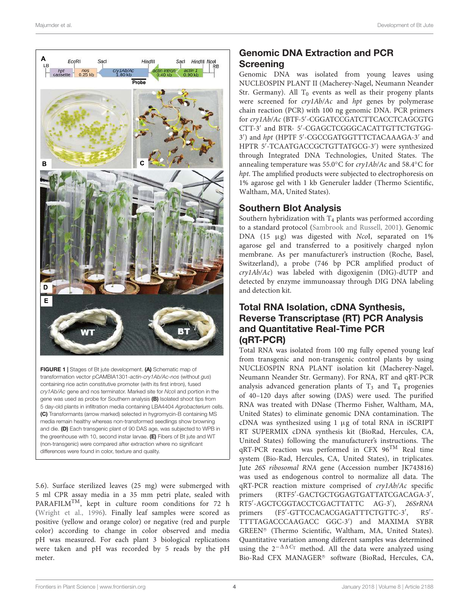

FIGURE 1 | Stages of Bt jute development. (A) Schematic map of transformation vector pCAMBIA1301-*actin-cry1Ab/Ac-nos* (without *gus*) containing rice actin constitutive promoter (with its first intron), fused *cry1Ab/Ac* gene and nos terminator. Marked site for *Nco*I and portion in the gene was used as probe for Southern analysis (B) Isolated shoot tips from 5 day-old plants in infiltration media containing LBA4404 *Agrobacterium* cells. (C) Transformants (arrow marked) selected in hygromycin-B containing MS media remain healthy whereas non-transformed seedlings show browning and die. (D) Each transgenic plant of 90 DAS age, was subjected to WPB in the greenhouse with 10, second instar larvae. (E) Fibers of Bt jute and WT (non-transgenic) were compared after extraction where no significant differences were found in color, texture and quality.

5.6). Surface sterilized leaves (25 mg) were submerged with 5 ml CPR assay media in a 35 mm petri plate, sealed with PARAFILM<sup>TM</sup>, kept in culture room conditions for 72 h (Wright et al., 1996). Finally leaf samples were scored as positive (yellow and orange color) or negative (red and purple color) according to change in color observed and media pH was measured. For each plant 3 biological replications were taken and pH was recorded by 5 reads by the pH meter.

# Genomic DNA Extraction and PCR Screening

Genomic DNA was isolated from young leaves using NUCLEOSPIN PLANT II (Macherey-Nagel, Neumann Neander Str. Germany). All  $T_0$  events as well as their progeny plants were screened for cry1Ab/Ac and hpt genes by polymerase chain reaction (PCR) with 100 ng genomic DNA. PCR primers for cry1Ab/Ac (BTF-5'-CGGATCCGATCTTCACCTCAGCGTG CTT-3′ and BTR- 5′ -CGAGCTCGGGCACATTGTTCTGTGG-3') and hpt (HPTF 5'-CGCCGATGGTTTCTACAAAGA-3' and HPTR 5′ -TCAATGACCGCTGTTATGCG-3′ ) were synthesized through Integrated DNA Technologies, United States. The annealing temperature was 55.0◦C for cry1Ab/Ac and 58.4◦C for hpt. The amplified products were subjected to electrophoresis on 1% agarose gel with 1 kb Generuler ladder (Thermo Scientific, Waltham, MA, United States).

# Southern Blot Analysis

Southern hybridization with  $T_4$  plants was performed according to a standard protocol (Sambrook and Russell, 2001). Genomic DNA (15 µg) was digested with NcoI, separated on 1% agarose gel and transferred to a positively charged nylon membrane. As per manufacturer's instruction (Roche, Basel, Switzerland), a probe (746 bp PCR amplified product of cry1Ab/Ac) was labeled with digoxigenin (DIG)-dUTP and detected by enzyme immunoassay through DIG DNA labeling and detection kit.

# Total RNA Isolation, cDNA Synthesis, Reverse Transcriptase (RT) PCR Analysis and Quantitative Real-Time PCR (qRT-PCR)

Total RNA was isolated from 100 mg fully opened young leaf from transgenic and non-transgenic control plants by using NUCLEOSPIN RNA PLANT isolation kit (Macherey-Nagel, Neumann Neander Str. Germany). For RNA, RT and qRT-PCR analysis advanced generation plants of  $T_3$  and  $T_4$  progenies of 40–120 days after sowing (DAS) were used. The purified RNA was treated with DNase (Thermo Fisher, Waltham, MA, United States) to eliminate genomic DNA contamination. The cDNA was synthesized using 1 µg of total RNA in iSCRIPT RT SUPERMIX cDNA synthesis kit (BioRad, Hercules, CA, United States) following the manufacturer's instructions. The qRT-PCR reaction was performed in CFX 96TM Real time system (Bio-Rad, Hercules, CA, United States), in triplicates. Jute 26S ribosomal RNA gene (Accession number JK743816) was used as endogenous control to normalize all data. The qRT-PCR reaction mixture comprised of cry1Ab/Ac specific primers -GACTGCTGGAGTGATTATCGACAGA-3′ , RT5′ -AGCTCGGTACCTCGACTTATTC AG-3′ ), 26SrRNA primers -GTTCCACACGAGATTTCTGTTC-3′ , R5′ - TTTTAGACCCAAGACC GGC-3′ ) and MAXIMA SYBR GREEN <sup>R</sup> (Thermo Scientific, Waltham, MA, United States). Quantitative variation among different samples was determined using the  $2^{-\Delta\Delta C_T}$  method. All the data were analyzed using Bio-Rad CFX MANAGER<sup>®</sup> software (BioRad, Hercules, CA,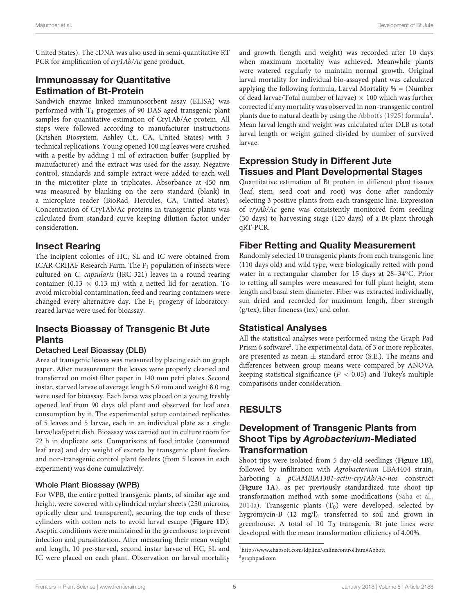United States). The cDNA was also used in semi-quantitative RT PCR for amplification of *cry1Ab*/*Ac* gene product.

# Immunoassay for Quantitative Estimation of Bt-Protein

Sandwich enzyme linked immunosorbent assay (ELISA) was performed with T<sup>4</sup> progenies of 90 DAS aged transgenic plant samples for quantitative estimation of Cry1Ab/Ac protein. All steps were followed according to manufacturer instructions (Krishen Biosystem, Ashley Ct., CA, United States) with 3 technical replications. Young opened 100 mg leaves were crushed with a pestle by adding 1 ml of extraction buffer (supplied by manufacturer) and the extract was used for the assay. Negative control, standards and sample extract were added to each well in the microtiter plate in triplicates. Absorbance at 450 nm was measured by blanking on the zero standard (blank) in a microplate reader (BioRad, Hercules, CA, United States). Concentration of Cry1Ab/Ac proteins in transgenic plants was calculated from standard curve keeping dilution factor under consideration.

### Insect Rearing

The incipient colonies of HC, SL and IC were obtained from ICAR-CRIJAF Research Farm. The  $F_1$  population of insects were cultured on C. capsularis (JRC-321) leaves in a round rearing container (0.13  $\times$  0.13 m) with a netted lid for aeration. To avoid microbial contamination, feed and rearing containers were changed every alternative day. The  $F_1$  progeny of laboratoryreared larvae were used for bioassay.

# Insects Bioassay of Transgenic Bt Jute Plants

#### Detached Leaf Bioassay (DLB)

Area of transgenic leaves was measured by placing each on graph paper. After measurement the leaves were properly cleaned and transferred on moist filter paper in 140 mm petri plates. Second instar, starved larvae of average length 5.0 mm and weight 8.0 mg were used for bioassay. Each larva was placed on a young freshly opened leaf from 90 days old plant and observed for leaf area consumption by it. The experimental setup contained replicates of 5 leaves and 5 larvae, each in an individual plate as a single larva/leaf/petri dish. Bioassay was carried out in culture room for 72 h in duplicate sets. Comparisons of food intake (consumed leaf area) and dry weight of excreta by transgenic plant feeders and non-transgenic control plant feeders (from 5 leaves in each experiment) was done cumulatively.

#### Whole Plant Bioassay (WPB)

For WPB, the entire potted transgenic plants, of similar age and height, were covered with cylindrical mylar sheets (250 microns, optically clear and transparent), securing the top ends of these cylinders with cotton nets to avoid larval escape (**Figure 1D**). Aseptic conditions were maintained in the greenhouse to prevent infection and parasitization. After measuring their mean weight and length, 10 pre-starved, second instar larvae of HC, SL and IC were placed on each plant. Observation on larval mortality and growth (length and weight) was recorded after 10 days when maximum mortality was achieved. Meanwhile plants were watered regularly to maintain normal growth. Original larval mortality for individual bio-assayed plant was calculated applying the following formula, Larval Mortality % = (Number of dead larvae/Total number of larvae)  $\times$  100 which was further corrected if any mortality was observed in non-transgenic control plants due to natural death by using the Abbott's (1925) formula<sup>1</sup>. Mean larval length and weight was calculated after DLB as total larval length or weight gained divided by number of survived larvae.

# Expression Study in Different Jute Tissues and Plant Developmental Stages

Quantitative estimation of Bt protein in different plant tissues (leaf, stem, seed coat and root) was done after randomly selecting 3 positive plants from each transgenic line. Expression of cryAb/Ac gene was consistently monitored from seedling (30 days) to harvesting stage (120 days) of a Bt-plant through qRT-PCR.

### Fiber Retting and Quality Measurement

Randomly selected 10 transgenic plants from each transgenic line (110 days old) and wild type, were biologically retted with pond water in a rectangular chamber for 15 days at 28–34◦C. Prior to retting all samples were measured for full plant height, stem length and basal stem diameter. Fiber was extracted individually, sun dried and recorded for maximum length, fiber strength (g/tex), fiber fineness (tex) and color.

### Statistical Analyses

All the statistical analyses were performed using the Graph Pad Prism 6 software<sup>2</sup>. The experimental data, of 3 or more replicates, are presented as mean  $\pm$  standard error (S.E.). The means and differences between group means were compared by ANOVA keeping statistical significance ( $P < 0.05$ ) and Tukey's multiple comparisons under consideration.

# RESULTS

# Development of Transgenic Plants from Shoot Tips by Agrobacterium-Mediated **Transformation**

Shoot tips were isolated from 5 day-old seedlings (**Figure 1B**), followed by infiltration with Agrobacterium LBA4404 strain, harboring a pCAMBIA1301-actin-cry1Ab/Ac-nos construct (**Figure 1A**), as per previously standardized jute shoot tip transformation method with some modifications (Saha et al., 2014a). Transgenic plants  $(T_0)$  were developed, selected by hygromycin-B (12 mg/l), transferred to soil and grown in greenhouse. A total of 10  $T_0$  transgenic Bt jute lines were developed with the mean transformation efficiency of 4.00%.

<sup>1</sup>http://www.ehabsoft.com/ldpline/onlinecontrol.htm#Abbott 2 graphpad.com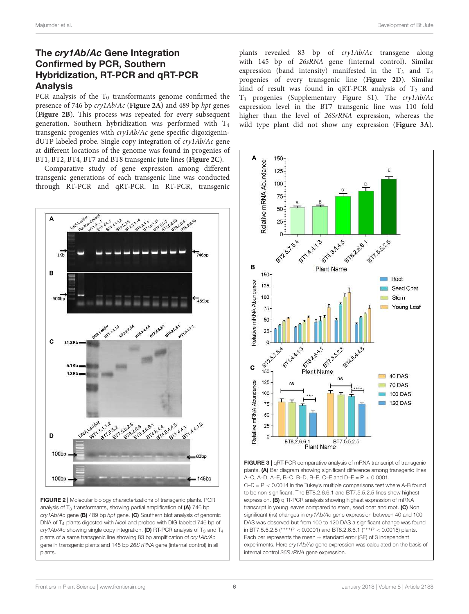# The cry1Ab/Ac Gene Integration Confirmed by PCR, Southern Hybridization, RT-PCR and qRT-PCR Analysis

PCR analysis of the  $T_0$  transformants genome confirmed the presence of 746 bp cry1Ab/Ac (**Figure 2A**) and 489 bp hpt genes (**Figure 2B**). This process was repeated for every subsequent generation. Southern hybridization was performed with T<sup>4</sup> transgenic progenies with cry1Ab/Ac gene specific digoxigenindUTP labeled probe. Single copy integration of cry1Ab/Ac gene at different locations of the genome was found in progenies of BT1, BT2, BT4, BT7 and BT8 transgenic jute lines (**Figure 2C**).

Comparative study of gene expression among different transgenic generations of each transgenic line was conducted through RT-PCR and qRT-PCR. In RT-PCR, transgenic



FIGURE 2 | Molecular biology characterizations of transgenic plants. PCR analysis of  $T_3$  transformants, showing partial amplification of (A) 746 bp *cry1Ab/Ac* gene (B) 489 bp *hpt* gene. (C) Southern blot analysis of genomic DNA of T<sup>4</sup> plants digested with *Nco*I and probed with DIG labeled 746 bp of  $cry1Ab/Ac$  showing single copy integration. (D) RT-PCR analysis of T<sub>3</sub> and T<sub>4</sub> plants of a same transgenic line showing 83 bp amplification of *cry1Ab/Ac* gene in transgenic plants and 145 bp *26S rRNA* gene (internal control) in all plants.

plants revealed 83 bp of cry1Ab/Ac transgene along with 145 bp of 26sRNA gene (internal control). Similar expression (band intensity) manifested in the  $T_3$  and  $T_4$ progenies of every transgenic line (**Figure 2D**). Similar kind of result was found in qRT-PCR analysis of  $T_2$  and T<sup>3</sup> progenies (Supplementary Figure S1). The cry1Ab/Ac expression level in the BT7 transgenic line was 110 fold higher than the level of 26SrRNA expression, whereas the wild type plant did not show any expression (**Figure 3A**).



FIGURE 3 | qRT-PCR comparative analysis of mRNA transcript of transgenic plants. (A) Bar diagram showing significant difference among transgenic lines A–C, A–D, A–E, B–C, B–D, B–E, C–E and D–E = P < 0.0001,  $C-D = P < 0.0014$  in the Tukey's multiple comparisons test where A-B found to be non-significant. The BT8.2.6.6.1 and BT7.5.5.2.5 lines show highest expression. (B) qRT-PCR analysis showing highest expression of mRNA transcript in young leaves compared to stem, seed coat and root. (C) Non significant (ns) changes in *cry1Ab/Ac* gene expression between 40 and 100 DAS was observed but from 100 to 120 DAS a significant change was found in BT7.5.5.2.5 (∗∗∗∗*P* < 0.0001) and BT8.2.6.6.1 (∗∗∗*P* < 0.0015) plants. Each bar represents the mean  $\pm$  standard error (SE) of 3 independent experiments. Here *cry1Ab/Ac* gene expression was calculated on the basis of internal control *26S rRNA* gene expression.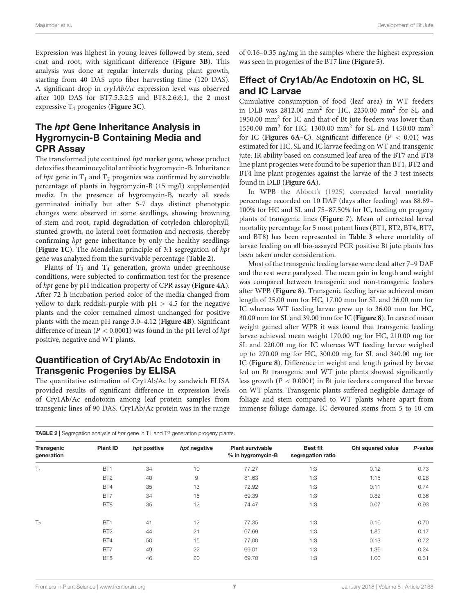Expression was highest in young leaves followed by stem, seed coat and root, with significant difference (**Figure 3B**). This analysis was done at regular intervals during plant growth, starting from 40 DAS upto fiber harvesting time (120 DAS). A significant drop in cry1Ab/Ac expression level was observed after 100 DAS for BT7.5.5.2.5 and BT8.2.6.6.1, the 2 most expressive T<sup>4</sup> progenies (**Figure 3C**).

# The *hpt* Gene Inheritance Analysis in Hygromycin-B Containing Media and CPR Assay

The transformed jute contained hpt marker gene, whose product detoxifies the aminocyclitol antibiotic hygromycin-B. Inheritance of hpt gene in  $T_1$  and  $T_2$  progenies was confirmed by survivable percentage of plants in hygromycin-B (15 mg/l) supplemented media. In the presence of hygromycin-B, nearly all seeds germinated initially but after 5-7 days distinct phenotypic changes were observed in some seedlings, showing browning of stem and root, rapid degradation of cotyledon chlorophyll, stunted growth, no lateral root formation and necrosis, thereby confirming hpt gene inheritance by only the healthy seedlings (**Figure 1C**). The Mendelian principle of 3:1 segregation of hpt gene was analyzed from the survivable percentage (**Table 2**).

Plants of  $T_3$  and  $T_4$  generation, grown under greenhouse conditions, were subjected to confirmation test for the presence of hpt gene by pH indication property of CPR assay (**Figure 4A**). After 72 h incubation period color of the media changed from yellow to dark reddish-purple with  $pH > 4.5$  for the negative plants and the color remained almost unchanged for positive plants with the mean pH range 3.0–4.12 (**Figure 4B**). Significant difference of mean ( $P < 0.0001$ ) was found in the pH level of hpt positive, negative and WT plants.

# Quantification of Cry1Ab/Ac Endotoxin in Transgenic Progenies by ELISA

The quantitative estimation of Cry1Ab/Ac by sandwich ELISA provided results of significant difference in expression levels of Cry1Ab/Ac endotoxin among leaf protein samples from transgenic lines of 90 DAS. Cry1Ab/Ac protein was in the range of 0.16–0.35 ng/mg in the samples where the highest expression was seen in progenies of the BT7 line (**Figure 5**).

# Effect of Cry1Ab/Ac Endotoxin on HC, SL and IC Larvae

Cumulative consumption of food (leaf area) in WT feeders in DLB was 2812.00 mm<sup>2</sup> for HC, 2230.00 mm<sup>2</sup> for SL and 1950.00 mm<sup>2</sup> for IC and that of Bt jute feeders was lower than 1550.00 mm<sup>2</sup> for HC, 1300.00 mm<sup>2</sup> for SL and 1450.00 mm<sup>2</sup> for IC (**Figures 6A–C**). Significant difference  $(P < 0.01)$  was estimated for HC, SL and IC larvae feeding on WT and transgenic jute. IR ability based on consumed leaf area of the BT7 and BT8 line plant progenies were found to be superior than BT1, BT2 and BT4 line plant progenies against the larvae of the 3 test insects found in DLB (**Figure 6A**).

In WPB the Abbott's (1925) corrected larval mortality percentage recorded on 10 DAF (days after feeding) was 88.89– 100% for HC and SL and 75–87.50% for IC, feeding on progeny plants of transgenic lines (**Figure 7**). Mean of corrected larval mortality percentage for 5 most potent lines (BT1, BT2, BT4, BT7, and BT8) has been represented in **Table 3** where mortality of larvae feeding on all bio-assayed PCR positive Bt jute plants has been taken under consideration.

Most of the transgenic feeding larvae were dead after 7–9 DAF and the rest were paralyzed. The mean gain in length and weight was compared between transgenic and non-transgenic feeders after WPB (**Figure 8**). Transgenic feeding larvae achieved mean length of 25.00 mm for HC, 17.00 mm for SL and 26.00 mm for IC whereas WT feeding larvae grew up to 36.00 mm for HC, 30.00 mm for SL and 39.00 mm for IC (**Figure 8**). In case of mean weight gained after WPB it was found that transgenic feeding larvae achieved mean weight 170.00 mg for HC, 210.00 mg for SL and 220.00 mg for IC whereas WT feeding larvae weighed up to 270.00 mg for HC, 300.00 mg for SL and 340.00 mg for IC (**Figure 8**). Difference in weight and length gained by larvae fed on Bt transgenic and WT jute plants showed significantly less growth  $(P < 0.0001)$  in Bt jute feeders compared the larvae on WT plants. Transgenic plants suffered negligible damage of foliage and stem compared to WT plants where apart from immense foliage damage, IC devoured stems from 5 to 10 cm

| <b>TABLE 2</b> Segregation analysis of hpt gene in T1 and T2 generation progeny plants. |                 |              |                        |                                              |                                      |                   |         |  |
|-----------------------------------------------------------------------------------------|-----------------|--------------|------------------------|----------------------------------------------|--------------------------------------|-------------------|---------|--|
| Transgenic<br>generation                                                                | <b>Plant ID</b> | hpt positive | hpt negative           | <b>Plant survivable</b><br>% in hygromycin-B | <b>Best fit</b><br>segregation ratio | Chi squared value | P-value |  |
| $T_1$                                                                                   | BT <sub>1</sub> | 34           | 10                     | 77.27                                        | 1:3                                  | 0.12              | 0.73    |  |
|                                                                                         | BT <sub>2</sub> | 40           | $\mathrel{\mathsf{g}}$ | 81.63                                        | 1:3                                  | 1.15              | 0.28    |  |
|                                                                                         | BT4             | 35           | 13                     | 72.92                                        | 1:3                                  | 0.11              | 0.74    |  |
|                                                                                         | BT7             | 34           | 15                     | 69.39                                        | 1:3                                  | 0.82              | 0.36    |  |
|                                                                                         | BT <sub>8</sub> | 35           | 12                     | 74.47                                        | 1:3                                  | 0.07              | 0.93    |  |
| T <sub>2</sub>                                                                          | BT <sub>1</sub> | 41           | 12                     | 77.35                                        | 1:3                                  | 0.16              | 0.70    |  |
|                                                                                         | BT <sub>2</sub> | 44           | 21                     | 67.69                                        | 1:3                                  | 1.85              | 0.17    |  |
|                                                                                         | BT4             | 50           | 15                     | 77.00                                        | 1:3                                  | 0.13              | 0.72    |  |
|                                                                                         | BT7             | 49           | 22                     | 69.01                                        | 1:3                                  | 1.36              | 0.24    |  |
|                                                                                         | BT <sub>8</sub> | 46           | 20                     | 69.70                                        | 1:3                                  | 1.00              | 0.31    |  |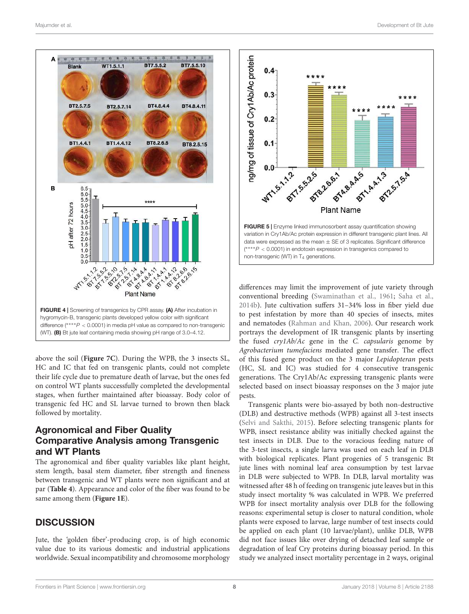

above the soil (**Figure 7C**). During the WPB, the 3 insects SL, HC and IC that fed on transgenic plants, could not complete their life cycle due to premature death of larvae, but the ones fed on control WT plants successfully completed the developmental stages, when further maintained after bioassay. Body color of transgenic fed HC and SL larvae turned to brown then black followed by mortality.

# Agronomical and Fiber Quality Comparative Analysis among Transgenic and WT Plants

The agronomical and fiber quality variables like plant height, stem length, basal stem diameter, fiber strength and fineness between transgenic and WT plants were non significant and at par (**Table 4**). Appearance and color of the fiber was found to be same among them (**Figure 1E**).

# **DISCUSSION**

Jute, the 'golden fiber'-producing crop, is of high economic value due to its various domestic and industrial applications worldwide. Sexual incompatibility and chromosome morphology



differences may limit the improvement of jute variety through conventional breeding (Swaminathan et al., 1961; Saha et al., 2014b). Jute cultivation suffers 31–34% loss in fiber yield due to pest infestation by more than 40 species of insects, mites and nematodes (Rahman and Khan, 2006). Our research work portrays the development of IR transgenic plants by inserting the fused cry1Ab/Ac gene in the C. capsularis genome by Agrobacterium tumefaciens mediated gene transfer. The effect of this fused gene product on the 3 major Lepidopteran pests (HC, SL and IC) was studied for 4 consecutive transgenic generations. The Cry1Ab/Ac expressing transgenic plants were selected based on insect bioassay responses on the 3 major jute pests.

Transgenic plants were bio-assayed by both non-destructive (DLB) and destructive methods (WPB) against all 3-test insects (Selvi and Sakthi, 2015). Before selecting transgenic plants for WPB, insect resistance ability was initially checked against the test insects in DLB. Due to the voracious feeding nature of the 3-test insects, a single larva was used on each leaf in DLB with biological replicates. Plant progenies of 5 transgenic Bt jute lines with nominal leaf area consumption by test larvae in DLB were subjected to WPB. In DLB, larval mortality was witnessed after 48 h of feeding on transgenic jute leaves but in this study insect mortality % was calculated in WPB. We preferred WPB for insect mortality analysis over DLB for the following reasons: experimental setup is closer to natural condition, whole plants were exposed to larvae, large number of test insects could be applied on each plant (10 larvae/plant), unlike DLB, WPB did not face issues like over drying of detached leaf sample or degradation of leaf Cry proteins during bioassay period. In this study we analyzed insect mortality percentage in 2 ways, original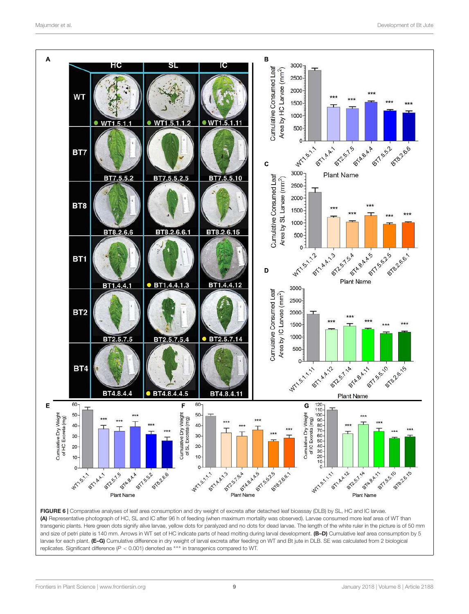

(A) Representative photograph of HC, SL and IC after 96 h of feeding (when maximum mortality was observed). Larvae consumed more leaf area of WT than transgenic plants. Here green dots signify alive larvae, yellow dots for paralyzed and no dots for dead larvae. The length of the white ruler in the picture is of 50 mm and size of petri plate is 140 mm. Arrows in WT set of HC indicate parts of head molting during larval development. (B-D) Cumulative leaf area consumption by 5 larvae for each plant. (E-G) Cumulative difference in dry weight of larval excreta after feeding on WT and Bt jute in DLB. SE was calculated from 2 biological replicates. Significant difference (*P* < 0.001) denoted as ∗∗∗ in transgenics compared to WT.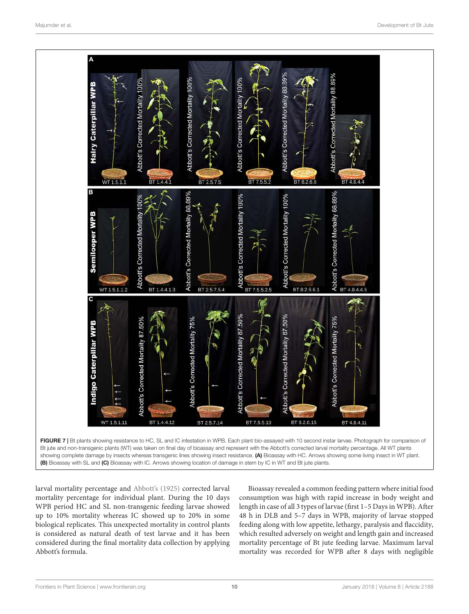

larval mortality percentage and Abbott's (1925) corrected larval mortality percentage for individual plant. During the 10 days WPB period HC and SL non-transgenic feeding larvae showed up to 10% mortality whereas IC showed up to 20% in some biological replicates. This unexpected mortality in control plants is considered as natural death of test larvae and it has been considered during the final mortality data collection by applying Abbott's formula.

Bioassay revealed a common feeding pattern where initial food consumption was high with rapid increase in body weight and length in case of all 3 types of larvae (first 1–5 Days in WPB). After 48 h in DLB and 5–7 days in WPB, majority of larvae stopped feeding along with low appetite, lethargy, paralysis and flaccidity, which resulted adversely on weight and length gain and increased mortality percentage of Bt jute feeding larvae. Maximum larval mortality was recorded for WPB after 8 days with negligible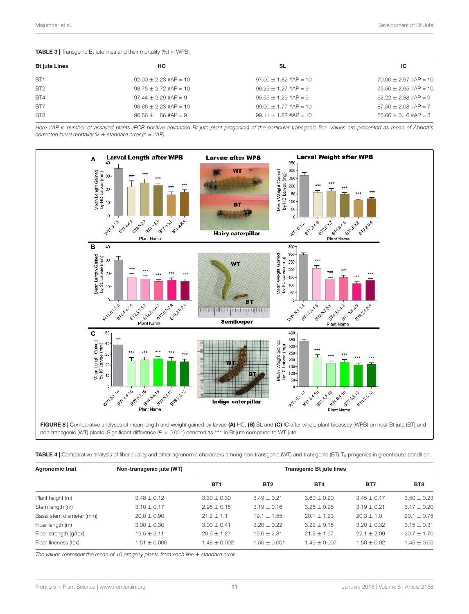#### TABLE 3 | Transgenic Bt jute lines and their mortality (%) in WPB.

| <b>Bt jute Lines</b> | HC.                       | SL                        | ıс                      |
|----------------------|---------------------------|---------------------------|-------------------------|
| BT <sub>1</sub>      | $92.00 \pm 2.23$ #AP = 10 | $97.00 + 1.82$ #AP = 10   | $70.00 + 2.97$ #AP = 10 |
| BT <sub>2</sub>      | $98.75 + 2.72$ #AP = 10   | $96.25 + 1.27$ #AP = 9    | $75.50 + 2.65$ #AP = 10 |
| BT4                  | $97.44 + 2.29$ #AP = 9    | $95.55 + 1.29$ #AP = 9    | $62.22 + 2.88$ #AP = 9  |
| BT7                  | $98.66 + 2.23$ #AP = 10   | $99.00 + 1.77$ #AP = 10   | $87.50 + 2.08$ #AP = 7  |
| BT <sub>8</sub>      | $96.66 + 1.66$ #AP = 9    | $99.11 \pm 1.82$ #AP = 10 | $85.66 + 3.16$ #AP = 8  |

*Here #AP is number of assayed plants (PCR positive advanced Bt jute plant progenies) of the particular transgenic line. Values are presented as mean of Abbott's corrected larval mortality %* ± *standard error (n = #AP).*



| <b>Agronomic trait</b>   | Non-transgenic jute (WT) | <b>Transgenic Bt jute lines</b> |                  |                 |                 |                 |  |
|--------------------------|--------------------------|---------------------------------|------------------|-----------------|-----------------|-----------------|--|
|                          |                          | BT <sub>1</sub>                 | BT <sub>2</sub>  | BT <sub>4</sub> | BT7             | BT <sub>8</sub> |  |
| Plant height (m)         | $3.48 \pm 0.12$          | $3.30 \pm 0.30$                 | $3.49 + 0.21$    | $3.60 + 0.20$   | $3.45 + 0.17$   | $3.50 + 0.23$   |  |
| Stem length (m)          | $3.10 + 0.17$            | $2.95 + 0.15$                   | $3.19 + 0.16$    | $3.25 + 0.26$   | $3.19 + 0.21$   | $3.17 \pm 0.20$ |  |
| Basal stem diameter (mm) | $20.0 + 0.90$            | $21.2 + 1.1$                    | $19.1 \pm 1.55$  | $20.1 + 1.23$   | $20.3 + 1.0$    | $20.1 \pm 0.75$ |  |
| Fiber length (m)         | $3.00 \pm 0.30$          | $3.00 + 0.41$                   | $3.20 + 0.22$    | $3.22 + 0.18$   | $3.20 \pm 0.32$ | $3.15 \pm 0.31$ |  |
| Fiber strength (g/tex)   | $19.5 + 2.11$            | $20.6 + 1.27$                   | $19.6 + 2.81$    | $21.2 + 1.67$   | $22.1 + 2.09$   | $20.7 \pm 1.70$ |  |
| Fiber fineness (tex)     | $1.51 \pm 0.006$         | $1.48 \pm 0.002$                | $1.50 \pm 0.001$ | $1.49 + 0.007$  | $1.50 \pm 0.02$ | $1.45 \pm 0.06$ |  |

**TABLE 4** | Comparative analysis of fiber quality and other agronomic characters among non-transgenic (WT) and transgenic (BT)  $T_4$  progenies in greenhouse condition.

*The values represent the mean of 10 progeny plants from each line* ± *standard error.*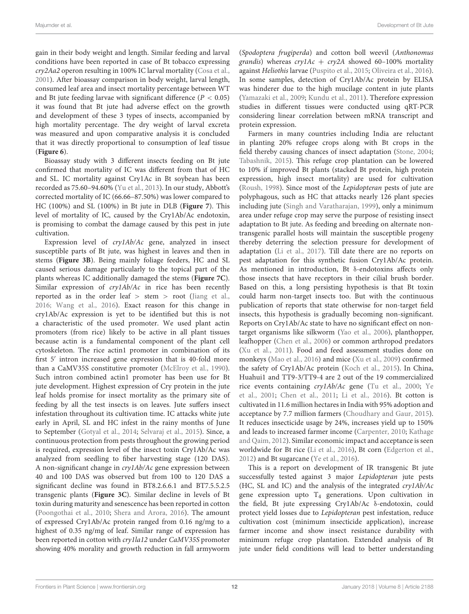gain in their body weight and length. Similar feeding and larval conditions have been reported in case of Bt tobacco expressing cry2Aa2 operon resulting in 100% IC larval mortality (Cosa et al., 2001). After bioassay comparison in body weight, larval length, consumed leaf area and insect mortality percentage between WT and Bt jute feeding larvae with significant difference ( $P < 0.05$ ) it was found that Bt jute had adverse effect on the growth and development of these 3 types of insects, accompanied by high mortality percentage. The dry weight of larval excreta was measured and upon comparative analysis it is concluded that it was directly proportional to consumption of leaf tissue (**Figure 6**).

Bioassay study with 3 different insects feeding on Bt jute confirmed that mortality of IC was different from that of HC and SL. IC mortality against Cry1Ac in Bt soybean has been recorded as 75.60–94.60% (Yu et al., 2013). In our study, Abbott's corrected mortality of IC (66.66–87.50%) was lower compared to HC (100%) and SL (100%) in Bt jute in DLB (**Figure 7**). This level of mortality of IC, caused by the Cry1Ab/Ac endotoxin, is promising to combat the damage caused by this pest in jute cultivation.

Expression level of cry1Ab/Ac gene, analyzed in insect susceptible parts of Bt jute, was highest in leaves and then in stems (**Figure 3B**). Being mainly foliage feeders, HC and SL caused serious damage particularly to the topical part of the plants whereas IC additionally damaged the stems (**Figure 7C**). Similar expression of cry1Ab/Ac in rice has been recently reported as in the order leaf  $>$  stem  $>$  root (Jiang et al., 2016; Wang et al., 2016). Exact reason for this change in cry1Ab/Ac expression is yet to be identified but this is not a characteristic of the used promoter. We used plant actin promoters (from rice) likely to be active in all plant tissues because actin is a fundamental component of the plant cell cytoskeleton. The rice actin1 promoter in combination of its first 5′ intron increased gene expression that is 40-fold more than a CaMV35S constitutive promoter (McElroy et al., 1990). Such intron combined actin1 promoter has been use for Bt jute development. Highest expression of Cry protein in the jute leaf holds promise for insect mortality as the primary site of feeding by all the test insects is on leaves. Jute suffers insect infestation throughout its cultivation time. IC attacks white jute early in April, SL and HC infest in the rainy months of June to September (Gotyal et al., 2014; Selvaraj et al., 2015). Since, a continuous protection from pests throughout the growing period is required, expression level of the insect toxin Cry1Ab/Ac was analyzed from seedling to fiber harvesting stage (120 DAS). A non-significant change in cry1Ab/Ac gene expression between 40 and 100 DAS was observed but from 100 to 120 DAS a significant decline was found in BT8.2.6.6.1 and BT7.5.5.2.5 transgenic plants (**Figure 3C**). Similar decline in levels of Bt toxin during maturity and senescence has been reported in cotton (Poongothai et al., 2010; Shera and Arora, 2016). The amount of expressed Cry1Ab/Ac protein ranged from 0.16 ng/mg to a highest of 0.35 ng/mg of leaf. Similar range of expression has been reported in cotton with cry1la12 under CaMV35S promoter showing 40% morality and growth reduction in fall armyworm

(Spodoptera frugiperda) and cotton boll weevil (Anthonomus grandis) whereas  $cry1Ac + cry2A$  showed 60-100% mortality against Heliothis larvae (Puspito et al., 2015; Oliveira et al., 2016). In some samples, detection of Cry1Ab/Ac protein by ELISA was hinderer due to the high mucilage content in jute plants (Yamazaki et al., 2009; Kundu et al., 2011). Therefore expression studies in different tissues were conducted using qRT-PCR considering linear correlation between mRNA transcript and protein expression.

Farmers in many countries including India are reluctant in planting 20% refugee crops along with Bt crops in the field thereby causing chances of insect adaptation (Stone, 2004; Tabashnik, 2015). This refuge crop plantation can be lowered to 10% if improved Bt plants (stacked Bt protein, high protein expression, high insect mortality) are used for cultivation (Roush, 1998). Since most of the Lepidopteran pests of jute are polyphagous, such as HC that attacks nearly 126 plant species including jute (Singh and Varatharajan, 1999), only a minimum area under refuge crop may serve the purpose of resisting insect adaptation to Bt jute. As feeding and breeding on alternate nontransgenic parallel hosts will maintain the susceptible progeny thereby deterring the selection pressure for development of adaptation (Li et al., 2017). Till date there are no reports on pest adaptation for this synthetic fusion Cry1Ab/Ac protein. As mentioned in introduction, Bt δ-endotoxins affects only those insects that have receptors in their cilial brush border. Based on this, a long persisting hypothesis is that Bt toxin could harm non-target insects too. But with the continuous publication of reports that state otherwise for non-target field insects, this hypothesis is gradually becoming non-significant. Reports on Cry1Ab/Ac state to have no significant effect on nontarget organisms like silkworm (Yao et al., 2006), planthopper, leafhopper (Chen et al., 2006) or common arthropod predators (Xu et al., 2011). Food and feed assessment studies done on monkeys (Mao et al., 2016) and mice (Xu et al., 2009) confirmed the safety of Cry1Ab/Ac protein (Koch et al., 2015). In China, Huahui1 and TT9-3/TT9-4 are 2 out of the 19 commercialized rice events containing cry1Ab/Ac gene (Tu et al., 2000; Ye et al., 2001; Chen et al., 2011; Li et al., 2016). Bt cotton is cultivated in 11.6 million hectares in India with 95% adoption and acceptance by 7.7 million farmers (Choudhary and Gaur, 2015). It reduces insecticide usage by 24%, increases yield up to 150% and leads to increased farmer income (Carpenter, 2010; Kathage and Qaim, 2012). Similar economic impact and acceptance is seen worldwide for Bt rice (Li et al., 2016), Bt corn (Edgerton et al., 2012) and Bt sugarcane (Ye et al., 2016).

This is a report on development of IR transgenic Bt jute successfully tested against 3 major Lepidopteran jute pests (HC, SL and IC) and the analysis of the integrated cry1Ab/Ac gene expression upto  $T_4$  generations. Upon cultivation in the field, Bt jute expressing Cry1Ab/Ac δ-endotoxin, could protect yield losses due to Lepidopteran pest infestation, reduce cultivation cost (minimum insecticide application), increase farmer income and show insect resistance durability with minimum refuge crop plantation. Extended analysis of Bt jute under field conditions will lead to better understanding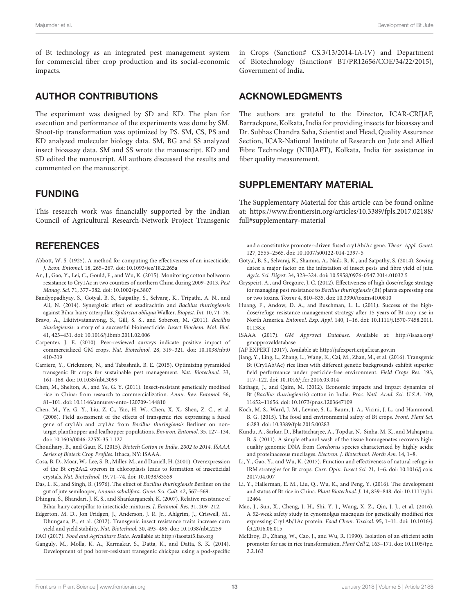of Bt technology as an integrated pest management system for commercial fiber crop production and its social-economic impacts.

### AUTHOR CONTRIBUTIONS

The experiment was designed by SD and KD. The plan for execution and performance of the experiments was done by SM. Shoot-tip transformation was optimized by PS. SM, CS, PS and KD analyzed molecular biology data. SM, BG and SS analyzed insect bioassay data. SM and SS wrote the manuscript. KD and SD edited the manuscript. All authors discussed the results and commented on the manuscript.

### FUNDING

This research work was financially supported by the Indian Council of Agricultural Research-Network Project Transgenic

# **REFERENCES**

- Abbott, W. S. (1925). A method for computing the effectiveness of an insecticide. J. Econ. Entomol. 18, 265–267. doi: 10.1093/jee/18.2.265a
- An, J., Gao, Y., Lei, C., Gould, F., and Wu, K. (2015). Monitoring cotton bollworm resistance to Cry1Ac in two counties of northern China during 2009–2013. Pest Manag. Sci. 71, 377–382. doi: 10.1002/ps.3807
- Bandyopadhyay, S., Gotyal, B. S., Satpathy, S., Selvaraj, K., Tripathi, A. N., and Ali, N. (2014). Synergistic effect of azadirachtin and Bacillus thuringiensis against Bihar hairy caterpillar, Spilarctia obliqua Walker. Biopest. Int. 10, 71–76.
- Bravo, A., Likitvivatanavong, S., Gill, S. S., and Soberon, M. (2011). Bacillus thuringiensis: a story of a successful bioinsecticide. Insect Biochem. Mol. Biol. 41, 423–431. doi: 10.1016/j.ibmb.2011.02.006
- Carpenter, J. E. (2010). Peer-reviewed surveys indicate positive impact of commercialized GM crops. Nat. Biotechnol. 28, 319–321. doi: 10.1038/nbt0 410-319
- Carriere, Y., Crickmore, N., and Tabashnik, B. E. (2015). Optimizing pyramided transgenic Bt crops for sustainable pest management. Nat. Biotechnol. 33, 161–168. doi: 10.1038/nbt.3099
- Chen, M., Shelton, A., and Ye, G. Y. (2011). Insect-resistant genetically modified rice in China: from research to commercialization. Annu. Rev. Entomol. 56, 81–101. doi: 10.1146/annurev-ento-120709-144810
- Chen, M., Ye, G. Y., Liu, Z. C., Yao, H. W., Chen, X. X., Shen, Z. C., et al. (2006). Field assessment of the effects of transgenic rice expressing a fused gene of cry1Ab and cry1Ac from Bacillus thuringiensis Berliner on nontarget planthopper and leafhopper populations. Environ. Entomol. 35, 127–134. doi: 10.1603/0046-225X-35.1.127
- Choudhary, B., and Gaur, K. (2015). Biotech Cotton in India, 2002 to 2014. ISAAA Series of Biotech Crop Profiles. Ithaca, NY: ISAAA.
- Cosa, B. D., Moar, W., Lee, S. B., Miller, M., and Daniell, H. (2001). Overexpression of the Bt cry2Aa2 operon in chloroplasts leads to formation of insecticidal crystals. Nat. Biotechnol. 19, 71–74. doi: 10.1038/83559
- Das, L. K., and Singh, B. (1976). The effect of Bacillus thuringiensis Berliner on the gut of jute semilooper, Anomis sabulifera. Guen. Sci. Cult. 42, 567–569.
- Dhingra, S., Bhandari, J. K. S., and Shankarganesh, K. (2007). Relative resistance of Bihar hairy caterpillar to insecticide mixtures. J. Entomol. Res. 31, 209–212.
- Edgerton, M. D., Jon Fridgen, J., Anderson, J. R. Jr., Ahlgrim, J., Criswell, M., Dhungana, P., et al. (2012). Transgenic insect resistance traits increase corn yield and yield stability. Nat. Biotechnol. 30, 493–496. doi: 10.1038/nbt.2259 FAO (2017). Food and Agriculture Data. Available at: http://faostat3.fao.org
- Ganguly, M., Molla, K. A., Karmakar, S., Datta, K., and Datta, S. K. (2014). Development of pod borer-resistant transgenic chickpea using a pod-specific

in Crops (Sanction# CS.3/13/2014-IA-IV) and Department of Biotechnology (Sanction# BT/PR12656/COE/34/22/2015), Government of India.

### ACKNOWLEDGMENTS

The authors are grateful to the Director, ICAR-CRIJAF, Barrackpore, Kolkata, India for providing insects for bioassay and Dr. Subhas Chandra Saha, Scientist and Head, Quality Assurance Section, ICAR-National Institute of Research on Jute and Allied Fibre Technology (NIRJAFT), Kolkata, India for assistance in fiber quality measurement.

# SUPPLEMENTARY MATERIAL

The Supplementary Material for this article can be found online at: https://www.frontiersin.org/articles/10.3389/fpls.2017.02188/ full#supplementary-material

and a constitutive promoter-driven fused cry1Ab/Ac gene. Theor. Appl. Genet. 127, 2555–2565. doi: 10.1007/s00122-014-2397-5

- Gotyal, B. S., Selvaraj, K., Shamna, A., Naik, R. K., and Satpathy, S. (2014). Sowing dates: a major factor on the infestation of insect pests and fibre yield of jute. Agric. Sci. Digest. 34, 323–324. doi: 10.5958/0976-0547.2014.01032.5
- Gryspeirt, A., and Gregoire, J. C. (2012). Effectiveness of high dose/refuge strategy for managing pest resistance to Bacillus thuringiensis (Bt) plants expressing one or two toxins. Toxins 4, 810–835. doi: 10.3390/toxins4100810
- Huang, F., Andow, D. A., and Buschman, L. L. (2011). Success of the highdose/refuge resistance management strategy after 15 years of Bt crop use in North America. Entomol. Exp. Appl. 140, 1–16. doi: 10.1111/j.1570-7458.2011. 01138.x
- ISAAA (2017). GM Approval Database. Available at: http://isaaa.org/ gmapprovaldatabase
- JAF EXPERT (2017). Available at: http://jafexpert.crijaf.icar.gov.in
- Jiang, Y., Ling, L., Zhang, L., Wang, K., Cai, M., Zhan, M., et al. (2016). Transgenic Bt (Cry1Ab/Ac) rice lines with different genetic backgrounds exhibit superior field performance under pesticide-free environment. Field Crops Res. 193, 117–122. doi: 10.1016/j.fcr.2016.03.014
- Kathage, J., and Qaim, M. (2012). Economic impacts and impact dynamics of Bt (Bacillus thuringiensis) cotton in India. Proc. Natl. Acad. Sci. U.S.A. 109, 11652–11656. doi: 10.1073/pnas.1203647109
- Koch, M. S., Ward, J. M., Levine, S. L., Baum, J. A., Vicini, J. L., and Hammond, B. G. (2015). The food and environmental safety of Bt crops. Front. Plant Sci. 6:283. doi: 10.3389/fpls.2015.00283
- Kundu, A., Sarkar, D., Bhattacharjee, A., Topdar, N., Sinha, M. K., and Mahapatra, B. S. (2011). A simple ethanol wash of the tissue homogenates recovers highquality genomic DNA from Corchorus species characterized by highly acidic and proteinaceous mucilages. Electron. J. Biotechnol. North Am. 14, 1–8.
- Li, Y., Gao, Y., and Wu, K. (2017). Function and effectiveness of natural refuge in IRM strategies for Bt crops. Curr. Opin. Insect Sci. 21, 1–6. doi: 10.1016/j.cois. 2017.04.007
- Li, Y., Hallerman, E. M., Liu, Q., Wu, K., and Peng, Y. (2016). The development and status of Bt rice in China. Plant Biotechnol. J. 14, 839–848. doi: 10.1111/pbi. 12464
- Mao, J., Sun, X., Cheng, J. H., Shi, Y. J., Wang, X. Z., Qin, J. J., et al. (2016). A 52-week safety study in cynomolgus macaques for genetically modified rice expressing Cry1Ab/1Ac protein. Food Chem. Toxicol. 95, 1–11. doi: 10.1016/j. fct.2016.06.015
- McElroy, D., Zhang, W., Cao, J., and Wu, R. (1990). Isolation of an efficient actin promoter for use in rice transformation. Plant Cell 2, 163–171. doi: 10.1105/tpc. 2.2.163